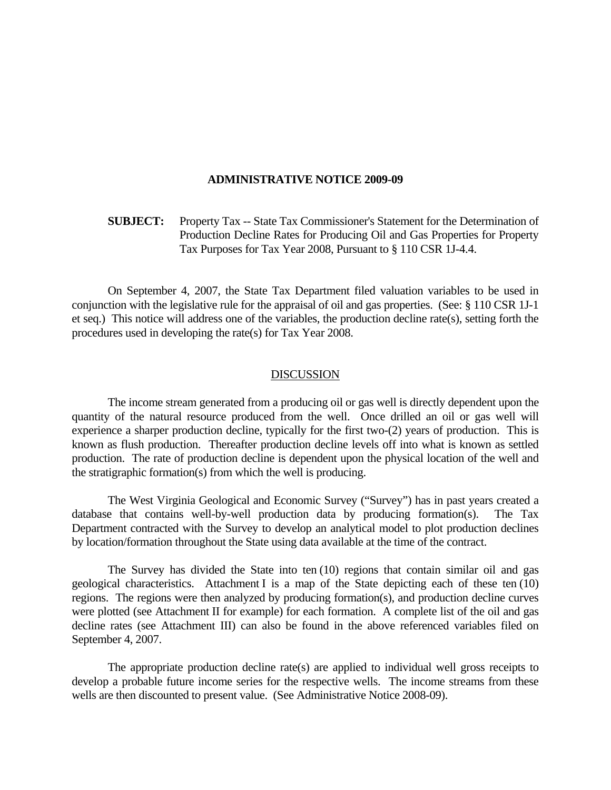#### **ADMINISTRATIVE NOTICE 2009-09**

 **SUBJECT:** Property Tax -- State Tax Commissioner's Statement for the Determination of Production Decline Rates for Producing Oil and Gas Properties for Property Tax Purposes for Tax Year 2008, Pursuant to § 110 CSR 1J-4.4.

 On September 4, 2007, the State Tax Department filed valuation variables to be used in conjunction with the legislative rule for the appraisal of oil and gas properties. (See: § 110 CSR 1J-1 et seq.) This notice will address one of the variables, the production decline rate(s), setting forth the procedures used in developing the rate(s) for Tax Year 2008.

#### DISCUSSION

 The income stream generated from a producing oil or gas well is directly dependent upon the quantity of the natural resource produced from the well. Once drilled an oil or gas well will experience a sharper production decline, typically for the first two-(2) years of production. This is known as flush production. Thereafter production decline levels off into what is known as settled production. The rate of production decline is dependent upon the physical location of the well and the stratigraphic formation(s) from which the well is producing.

 The West Virginia Geological and Economic Survey ("Survey") has in past years created a database that contains well-by-well production data by producing formation(s). The Tax Department contracted with the Survey to develop an analytical model to plot production declines by location/formation throughout the State using data available at the time of the contract.

 The Survey has divided the State into ten (10) regions that contain similar oil and gas geological characteristics. Attachment I is a map of the State depicting each of these ten (10) regions. The regions were then analyzed by producing formation(s), and production decline curves were plotted (see Attachment II for example) for each formation. A complete list of the oil and gas decline rates (see Attachment III) can also be found in the above referenced variables filed on September 4, 2007.

 The appropriate production decline rate(s) are applied to individual well gross receipts to develop a probable future income series for the respective wells. The income streams from these wells are then discounted to present value. (See Administrative Notice 2008-09).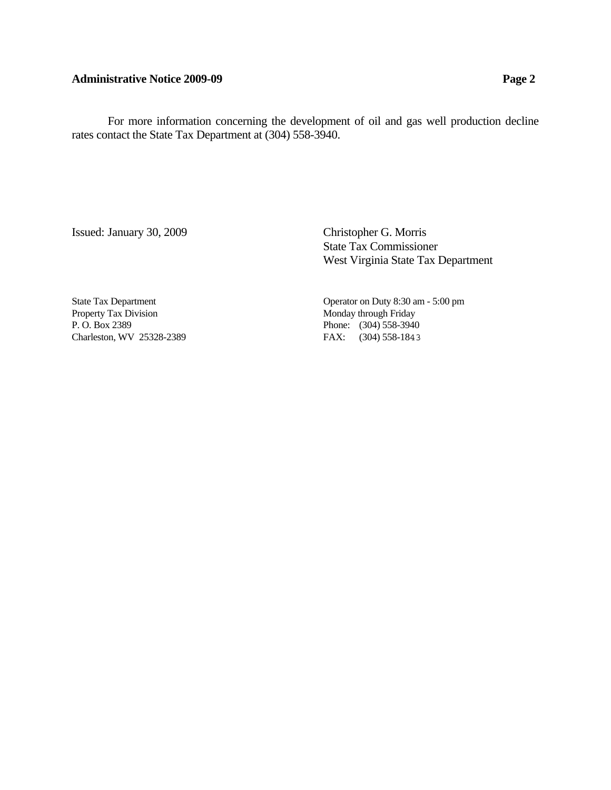### Administrative Notice 2009-09 **Page 2**

 For more information concerning the development of oil and gas well production decline rates contact the State Tax Department at (304) 558-3940.

Issued: January 30, 2009 Christopher G. Morris

 State Tax Commissioner West Virginia State Tax Department

Property Tax Division Monday through Friday P. O. Box 2389 Phone: (304) 558-3940 Charleston, WV 25328-2389 FAX: (304) 558-1843

State Tax Department Operator on Duty 8:30 am - 5:00 pm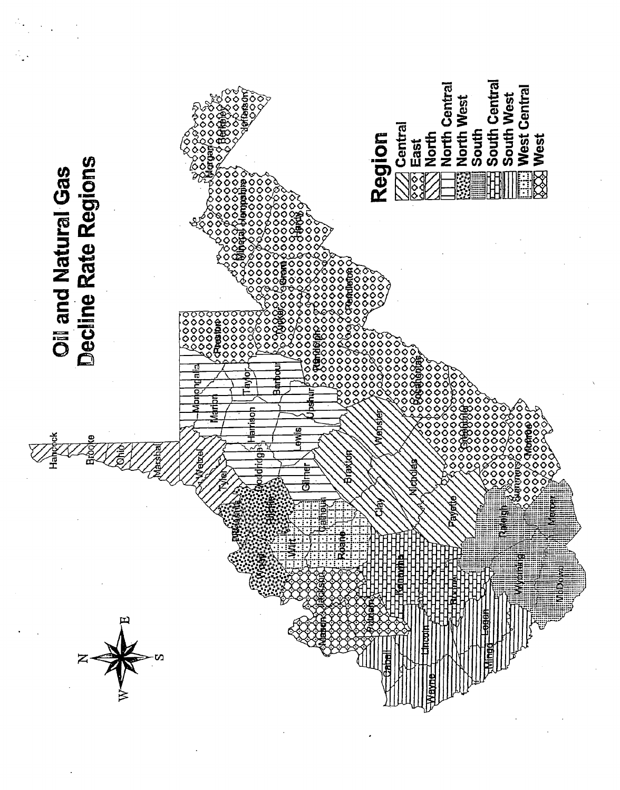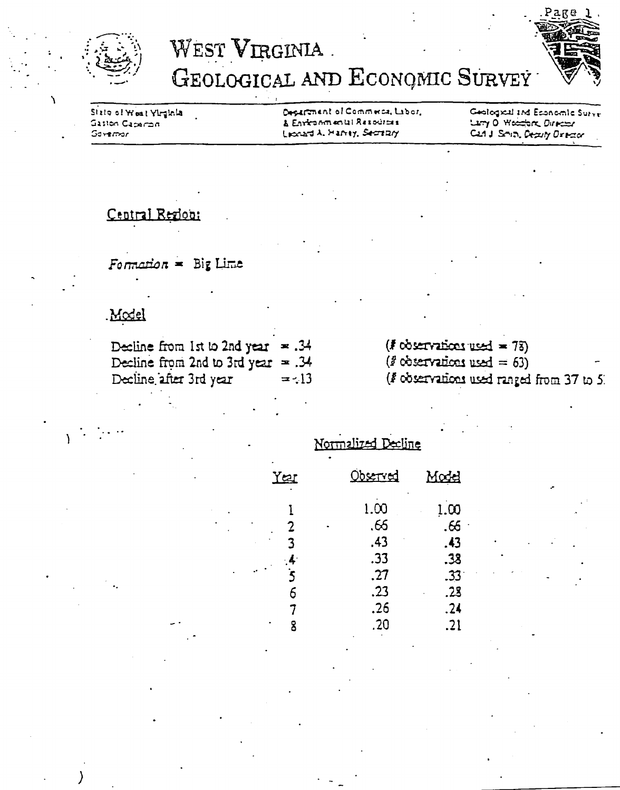



Sizio ol Weat Virginia Gaston Caparan  $G$ avermar

Department of Commerce, Labor, & Environmental Resources Licoust A. Harrey, Secretary

Geological and Economic Survey Larry O Wesselars Director Carl J. Smith, Deputy Director

## Central Region:

Formation = Big Lime

# Model

| Decline from 1st to 2nd year $\approx .34$ |         | $(F \nob{\text{survations used}} = 78)$  |
|--------------------------------------------|---------|------------------------------------------|
| Decline from 2nd to 3rd year $= .34$       |         | $\ell^2$ observations used = 63)         |
| Decline after 3rd year                     | $= -13$ | (F observations used ranged from 37 to 5 |

|            | Normalized Decline |                    |
|------------|--------------------|--------------------|
| <u>Yer</u> | <u>Observed</u>    | Modd               |
| 2          | 1.00<br>.66<br>.43 | 1.00<br>.66<br>.43 |
| $\cdot$    | .33<br>.27         | .38<br>.33         |
| 6          | .23                | .23                |
| 8          | .26<br>.20         | .24<br>.21         |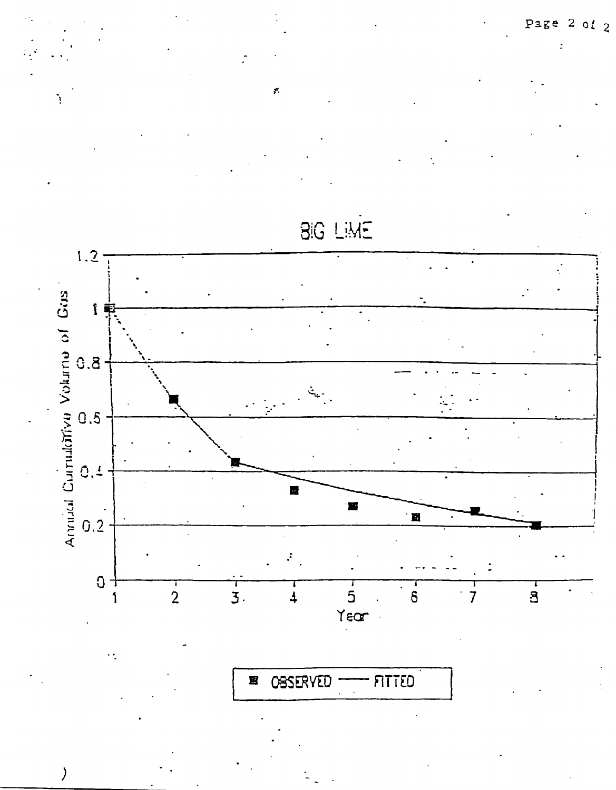Page  $2$  of  $2$ 

 $\overline{r}$ 



**BIG LIME** 

**OBSERVED FITTED** 耳

 $\mathcal{Y}$ 

 $\dddot{\cdot}$ 

 $\mathbf{I}$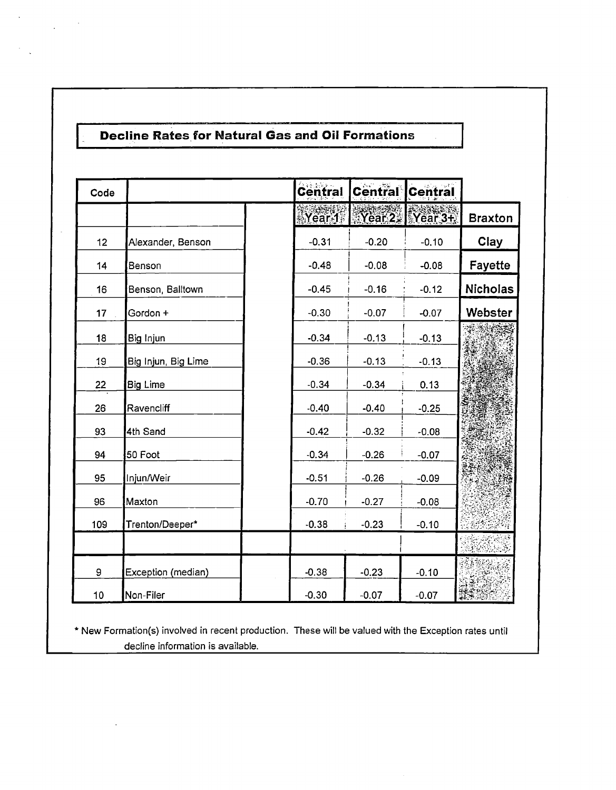$\mathcal{A}^{\pm}$ 

 $\sim$  $\bar{\mathcal{L}}$ 

 $\frac{1}{2} \left( \frac{1}{2} \right) \frac{1}{2} \left( \frac{1}{2} \right)$ 

| Code |                     | Central | Central | <b>Central</b>  |                 |
|------|---------------------|---------|---------|-----------------|-----------------|
|      |                     | Near 1  |         | $Year2$ Year 3+ | <b>Braxton</b>  |
| 12   | Alexander, Benson   | $-0.31$ | $-0.20$ | $-0.10$         | Clay            |
| 14   | Benson              | $-0.48$ | $-0.08$ | $-0.08$         | Fayette         |
| 16   | Benson, Balltown    | $-0.45$ | $-0.16$ | $-0.12$         | <b>Nicholas</b> |
| 17   | Gordon +            | $-0.30$ | $-0.07$ | $-0.07$         | Webster         |
| 18   | Big Injun           | $-0.34$ | $-0.13$ | $-0.13$         |                 |
| 19   | Big Injun, Big Lime | $-0.36$ | $-0.13$ | $-0.13$         |                 |
| 22   | <b>Big Lime</b>     | $-0.34$ | $-0.34$ | 0.13            |                 |
| 26   | Ravencliff          | $-0.40$ | $-0.40$ | $-0.25$         |                 |
| 93   | 4th Sand            | $-0.42$ | $-0.32$ | $-0.08$         |                 |
| 94   | 50 Foot             | $-0.34$ | $-0.26$ | $-0.07$         |                 |
| 95   | Injun/Weir          | $-0.51$ | $-0.26$ | $-0.09$         |                 |
| 96   | Maxton              | $-0.70$ | $-0.27$ | $-0.08$         |                 |
| 109  | Trenton/Deeper*     | $-0.38$ | $-0.23$ | $-0.10$         |                 |
|      |                     |         |         |                 |                 |
| 9    | Exception (median)  | $-0.38$ | $-0.23$ | $-0.10$         |                 |
| 10   | Non-Filer           | $-0.30$ | $-0.07$ | $-0.07$         |                 |

\* New Formation(s) involved in recent production. These will be valued with the Exception rates until decline information is available.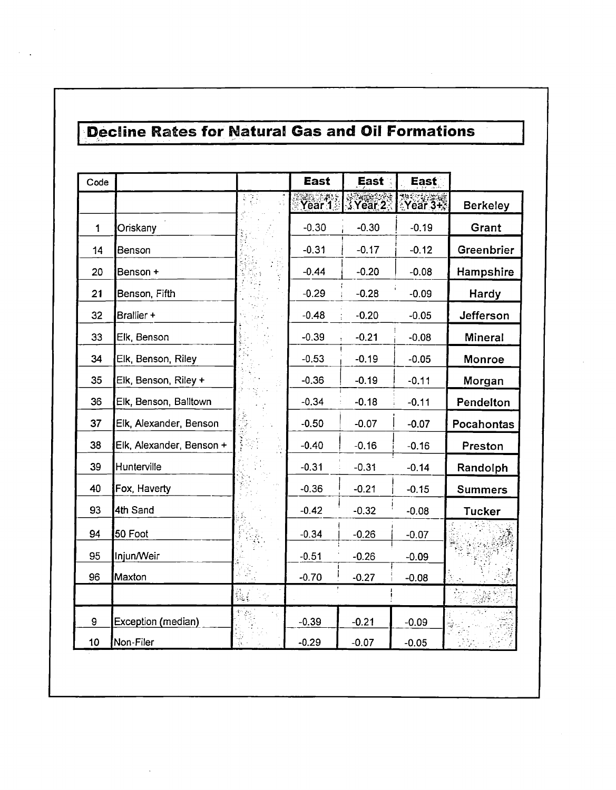$\sim$  $\ddot{\phantom{a}}$ 

| Code         |                          |       | <b>East</b>       | East :         | East.       |                 |
|--------------|--------------------------|-------|-------------------|----------------|-------------|-----------------|
|              |                          | t y f | Year <sup>7</sup> | <b>XYear 2</b> | $Year3 + 3$ | <b>Berkeley</b> |
| $\mathbf{1}$ | Oriskany                 |       | $-0.30$           | $-0.30$        | $-0.19$     | Grant           |
| 14           | Benson                   |       | $-0.31$           | $-0.17$        | $-0.12$     | Greenbrier      |
| 20           | Benson +                 |       | $-0.44$           | $-0.20$        | $-0.08$     | Hampshire       |
| 21           | Benson, Fifth            |       | $-0.29$           | $-0.28$        | $-0.09$     | Hardy           |
| 32           | Brallier +               |       | $-0.48$           | $-0.20$        | $-0.05$     | Jefferson       |
| 33           | Elk, Benson              |       | $-0.39$           | $-0.21$        | $-0.08$     | Mineral         |
| 34           | Elk, Benson, Riley       |       | $-0.53$           | $-0.19$        | $-0.05$     | Monroe          |
| 35           | Elk, Benson, Riley +     |       | $-0.36$           | $-0.19$        | $-0.11$     | Morgan          |
| 36           | Elk, Benson, Balltown    |       | $-0.34$           | $-0.18$        | $-0.11$     | Pendelton       |
| 37           | Elk, Alexander, Benson   |       | $-0.50$           | $-0.07$        | $-0.07$     | Pocahontas      |
| 38           | Elk, Alexander, Benson + |       | $-0.40$           | $-0.16$        | $-0.16$     | Preston         |
| 39           | Hunterville              |       | $-0.31$           | $-0.31$        | $-0.14$     | Randolph        |
| 40           | Fox, Haverty             |       | $-0.36$           | $-0.21$        | $-0.15$     | <b>Summers</b>  |
| 93           | 4th Sand                 |       | $-0.42$           | $-0.32$        | $-0.08$     | <b>Tucker</b>   |
| 94           | 50 Foot                  |       | $-0.34$           | $-0.26$        | $-0.07$     |                 |
| 95           | Injun/Weir               |       | $-0.51$           | $-0.26$        | $-0.09$     |                 |
| 96           | Maxton                   |       | $-0.70$           | $-0.27$        | $-0.08$     |                 |
|              |                          |       |                   |                |             |                 |
| 9            | Exception (median)       |       | $-0.39$           | $-0.21$        | $-0.09$     |                 |
| 10           | Non-Filer                |       | $-0.29$           | $-0.07$        | $-0.05$     |                 |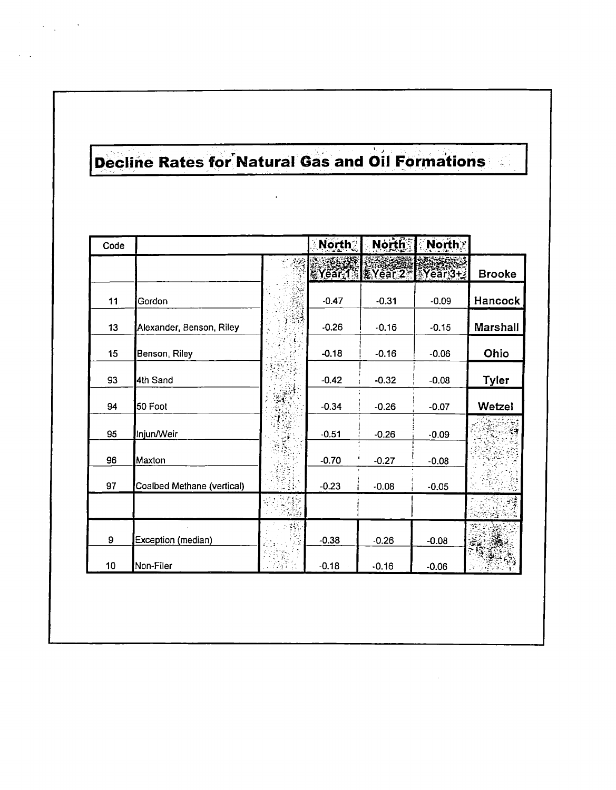$\ddot{\phantom{a}}$ 

| Code |                            |      | <b>North</b> | North            | North?    |                |
|------|----------------------------|------|--------------|------------------|-----------|----------------|
|      |                            |      |              | RYear 1: KYear 2 | $Year3+3$ | <b>Brooke</b>  |
| 11   | Gordon                     |      | $-0.47$      | $-0.31$          | $-0.09$   | <b>Hancock</b> |
| 13   | Alexander, Benson, Riley   |      | $-0.26$      | $-0.16$          | $-0.15$   | Marshall       |
| 15   | Benson, Riley              |      | $-0.18$      | $-0.16$          | $-0.06$   | Ohio           |
| 93   | 4th Sand                   |      | $-0.42$      | $-0.32$          | $-0.08$   | <b>Tyler</b>   |
| 94   | 50 Foot                    | શ્રી | $-0.34$      | $-0.26$          | $-0.07$   | Wetzel         |
| 95   | Injun/Weir                 |      | $-0.51$      | $-0.26$          | $-0.09$   |                |
| 96   | Maxton                     |      | $-0.70$      | $-0.27$          | $-0.08$   |                |
| 97   | Coalbed Methane (vertical) |      | $-0.23$      | $-0.08$          | $-0.05$   |                |
|      |                            |      |              |                  |           |                |
| 9    | Exception (median)         |      | $-0.38$      | $-0.26$          | $-0.08$   |                |
| 10   | Non-Filer                  |      | $-0.18$      | $-0.16$          | $-0.06$   |                |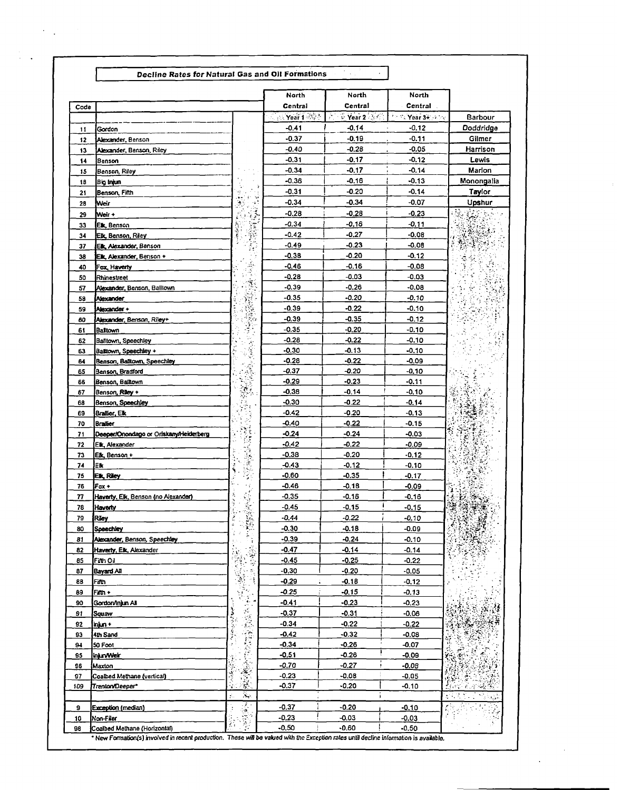| Code |                                        |           | North<br>Central    | North<br>Central     | North<br><b>Central</b>                                       |                                               |
|------|----------------------------------------|-----------|---------------------|----------------------|---------------------------------------------------------------|-----------------------------------------------|
|      |                                        |           | $\sim$ Year 1 $\gg$ | $\sim$ Year 2 $\sim$ | $2.12$ $\sqrt{2}$ $\sqrt{2}$ $\sqrt{2}$ $\sqrt{2}$ $\sqrt{2}$ | Barbour                                       |
| 11   | Gordon                                 |           | $-0.41$             | $-0.14$              | $-0.12$                                                       | Doddridge                                     |
| 12   | Alexander, Benson                      |           | $-0.37$             | -0.19                | $-0.11$                                                       | Gilmer                                        |
| 13   | Alexander, Benson, Riley               |           | -0.40               | $-0.28$              | $-0.05$                                                       | Harrison                                      |
| 14   | Benson                                 |           | $-0.31$             | $-0.17$              | $-0.12$                                                       | Lewis                                         |
| 15   | Benson, Riley                          |           | $-0.34$             | $-0.17$              | $-0.14$                                                       | Marion                                        |
| 18   | Big Injun                              |           | -0.36               | $-0.16$              | $-0.13$                                                       | Monongalia                                    |
| 21   | Benson, Fifth                          | 41<br>t i | $-0.31$             | $-0.20$              | $-0.14$                                                       | Taylor                                        |
| 28   | Weir                                   | ۰,<br>¥   | $-0.34$             | -0.34                | -0.07                                                         | Upshur                                        |
|      |                                        |           | $-0.28$             | $-0.28$              | $-0.23$                                                       |                                               |
| 29   | <b>Weir +</b>                          |           | $-0.34$             | -0.16                | $-0.11$                                                       |                                               |
| 33   | Elk, Benson                            | Ţ         | $-0.42$             | $-0.27$              | $-0.08$                                                       |                                               |
| 34   | <b>Eik, Benson, Riley</b>              |           |                     |                      |                                                               |                                               |
| 37   | Elk, Alexander, Benson                 |           | $-0.49$             | $-0.23$              | $-0.08$                                                       |                                               |
| 38   | Elk, Alexander, Benson +               |           | $-0.38$             | -0.20                | $-0.12$                                                       |                                               |
| 40   | Fox, Haverty                           | Ś         | $-0.46$             | -0.16                | $-0.08$                                                       |                                               |
| 50   | Rhinestreet                            |           | $-0.28$             | $-0.03$              | $-0.03$                                                       |                                               |
| 57   | Alexander, Benson, Balltown            |           | $-0.39$             | $-0.26$              | $-0.08$                                                       |                                               |
| 58   | Alexander                              |           | $-0.35$             | -0.20                | -0.10                                                         |                                               |
| 59   | Alexander+                             |           | $-0.39$             | $-0.22$              | $-0.10$                                                       |                                               |
| 60   | Alexander, Benson, Riley+              |           | $-0.39$             | $-0.35$              | $-0.12$                                                       |                                               |
| 61   | Baltown                                | 9         | $-0.35$             | $-0.20$              | $-0.10$                                                       |                                               |
| 62   | Balltown, Speechley                    |           | $-0.28$             | $-0.22$              | -0.10                                                         |                                               |
| 63   | Battown, Speechley +                   | Ì         | -0.30               | -0.13                | -0.10                                                         |                                               |
| 64   | Benson, Balltown, Speechley            |           | $-0.28$             | $-0.22$              | $-0.09$                                                       |                                               |
| 65   | Benson, Bradford                       |           | $-0.37$             | -0.20                | $-0.10$                                                       |                                               |
| 66   | Benson, Balltown                       |           | $-0.29$             | -0.23                | $-0.11$                                                       |                                               |
| 67   | Benson, Riley +                        | Ş.        | $-0.38$             | $-0.14$              | $-0,10$                                                       |                                               |
| 68   | Benson, Speechley                      | Ă         | $-0.30$             | -0.22                | $-0.14$                                                       |                                               |
| 69   | Brailier, Elk                          |           | $-0.42$             | -0.20                | $-0.13$                                                       |                                               |
| 70   | <b>Braifier</b>                        |           | -0.40               | $-0.22$              | $-0.15$                                                       |                                               |
| 71   | Deeper/Onondago or Oriskany/Heiderberg | 詩         | $-0.24$             | $-0.24$              | $-0.03$                                                       |                                               |
| 72   | E <b>lk,</b> Alexander                 | śξ        | $-0.42$             | $-0.22$              | $-0.09$                                                       |                                               |
| 73   | <b>Elk, Benson +</b>                   | V.        | -0.38               | $-0.20$              | -0.12                                                         |                                               |
| 74   | Еk                                     |           | -0.43               | $-0.12$              | $-0.10$                                                       |                                               |
| 75   | Elk, Riley                             |           | $-0.60$             | -0.35                | $-0.17$                                                       |                                               |
| 76   | $Fax +$                                |           | -0.46               | -0.18                | $-0.09$                                                       |                                               |
| 77   | Haverty, Elk, Benson (no Alexander)    | ¥         | -0.35               | -0.16                | -0.16                                                         |                                               |
| 78   | Haverty                                |           | -0.45               | -0.15                | $-0.15$                                                       |                                               |
| 79   | Riey                                   | Ř<br>医尿   | -0.44               | $-0.22$              | $-0.10$                                                       |                                               |
| 80   | <b>Speechley</b>                       |           | -0.30               | -0.18                | -0.09                                                         |                                               |
| 81   | Alexander, Benson, Speechley           | ÷         | $-0.39$             | $-0.24$              | $-0.10$                                                       |                                               |
| 82   | Haverty, Elk, Alexander                |           | -0.47               | $-0.14$              | $-0.14$                                                       |                                               |
| 85   | Fifth Oil                              | 「楽器を指導」   | $-0.45$             | $-0.25$              | $-0.22$                                                       |                                               |
| 87   | <b>Bayard All</b>                      |           | $-0.30$             | -0.20                | -0.05                                                         |                                               |
| 88   | Filth                                  |           | -0.29               | $-0.18$              | $-0.12$                                                       |                                               |
| 89   | Fith +                                 |           | -0.25               | $-0.15$              | -0.13                                                         |                                               |
| 90   | Gordon/Injun All                       |           | -0.41               | $-0.23$              | $-0.23$                                                       |                                               |
| 91   | Squaw                                  |           | -0.37               | -0.31                | $-0.06$                                                       |                                               |
| 92   | lnjun +                                |           | $-0.34$             | $-0.22$              | $-0.22$                                                       |                                               |
| 93   | 4th Sand                               |           | $-0.42$             | $-0.32$              | $-0.08$                                                       |                                               |
| 94   | 50 Foot                                | 深度学       | $-0.34$             | $-0.26$              | $-0.07$                                                       |                                               |
| 95   |                                        |           | -0.51               | $-0.26$              | -0.09                                                         |                                               |
|      | <b>InjurvWeir</b>                      |           | -0.70               | $-0.27$              | $-0.08$                                                       |                                               |
| 96   | Maxton                                 | 医囊炎       | $-0.23$             | $-0.08$              | $-0.05$                                                       |                                               |
| 97   | Coalbed Methane (vertical)             |           | $-0.37$             | $-0.20$              |                                                               |                                               |
| 109  | Trenton/Deeper*                        | З.,       |                     | j.                   | -0.10                                                         | $\sim 10^6$<br>$\mathbb{C} \times \mathbb{C}$ |
|      |                                        |           |                     |                      |                                                               | ¢,<br>÷.                                      |
| 9    | Exception (median)                     | ुरु       | -0.37               | -0.20                | $-0.10$                                                       | ŕ,                                            |
| 10   | Non-Filer                              | Ĵ.        | $-0.23$             | $-0.03$              | $-0.03$                                                       |                                               |

 $\mathcal{O}(\mathcal{O}(\log n))$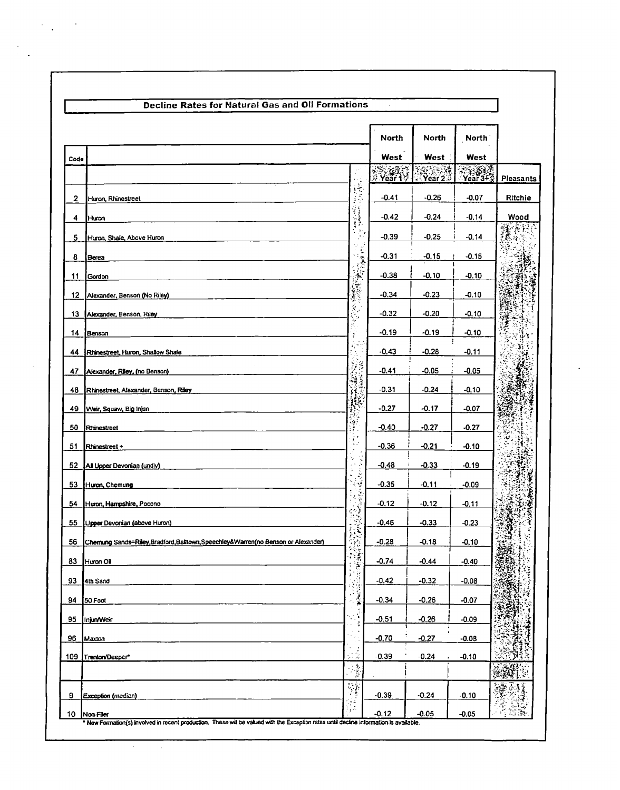|      |                                                                                   |                             | North   | North              | North                            |                  |
|------|-----------------------------------------------------------------------------------|-----------------------------|---------|--------------------|----------------------------------|------------------|
| Code |                                                                                   |                             | West    | West               | West                             |                  |
|      |                                                                                   |                             | Year 1  | Year 2             | Y <sub>ear</sub> 34 <sub>3</sub> | <b>Pleasants</b> |
| 2    | Huron, Rhinestreet                                                                | 一体病                         | -0.41   | $-0.26$            | $-0.07$                          | Ritchie          |
| 4    | Huron                                                                             |                             | $-0.42$ | $-0.24$            | $-0.14$                          | Wood             |
| 5    | Huron, Shale, Above Huron                                                         | $\ddot{\bullet}$            | $-0.39$ | $-0.25$            | $-0.14$                          | 经信托              |
| 8    | Berea                                                                             |                             | $-0.31$ | $-0.15$            | $-0.15$                          |                  |
| 11   | Gordon                                                                            |                             | $-0.38$ | $-0.10$            | -0.10                            |                  |
| 12   | Alexander, Benson (No Riley)                                                      |                             | $-0.34$ | $-0.23$            | $-0.10$                          |                  |
| 13   | Alexander, Benson, Riley                                                          | Ų,                          | $-0.32$ | $-0.20$            | -0.10                            | ٠÷               |
| 14   | Benson                                                                            |                             | $-0.19$ | $-0.19$            | -0.10                            |                  |
| 44   | Rhinestreet, Huron, Shallow Shale                                                 |                             | $-0.43$ | $-0.28$            | $-0.11$                          |                  |
| 47   | Alexander, Riley, (no Benson)                                                     | <b>THE SECTION</b>          | $-0.41$ | -0.05              | $-0.05$                          |                  |
| 48   | Rhinestreet, Alexander, Benson, Riley                                             |                             | $-0.31$ | $-0.24$            | $-0.10$                          |                  |
| 49   | Weir, Squaw, Big Injun                                                            | $\mathcal{L}_{\mathcal{F}}$ | $-0.27$ | $-0.17$            | $-0.07$                          |                  |
| 50   | Rhinestreet                                                                       | ÷.                          | $-0.40$ | $-0.27$            | $-0.27$                          |                  |
| 51   | Rhinestreet +                                                                     | D.                          | $-0.36$ | -0.21              | $-0.10$                          |                  |
| 52   | All Upper Devonian (undiv)                                                        | ó,<br>ś                     | $-0.48$ | $-0.33$            | $-0.19$                          |                  |
| 53   | Huron, Chemung                                                                    | Y                           | $-0.35$ | $-0.11$            | $-0.09$                          |                  |
| 54   | Huron, Hampshire, Pocono                                                          |                             | $-0.12$ | $-0.12$            | $-0.11$                          |                  |
| 55   | Upper Devonian (above Huron)                                                      |                             | $-0.46$ | $-0.33$            | $-0.23$                          |                  |
| 56   | Chemung Sands=Riley, Bradford, Balltown, Speechley&Warren(no Benson or Alexander) | ٥.<br>Ì                     | $-0.28$ | $-0.18$            | $-0.10$                          |                  |
| 83   | Huron Oil                                                                         | þ.<br>ł,                    | $-0.74$ | $-0.44$            | $-0.40$                          |                  |
| 93   | 4th Sand                                                                          | Ĵ.                          | $-0.42$ | $-0.32$            | $-0.08$                          |                  |
| 94   | 50 Foot                                                                           | ×                           | $-0.34$ | $-0.26$            | $-0.07$                          |                  |
| 95   | Injun/Weir                                                                        |                             | $-0.51$ | $-0.26$            | $-0.09$                          |                  |
| 96   | Maxton                                                                            |                             | $-0.70$ | $-0.27$            | $-0.08$                          |                  |
| 109  | Trenton/Deeper*                                                                   | $\cdot$ ).                  | $-0.39$ | $-0.24$            | $-0.10$                          |                  |
|      |                                                                                   | J.                          |         |                    |                                  |                  |
| 9    | Exception (median)                                                                | t'A                         | $-0.39$ | $-0.24$<br>$-0.05$ | $-0.10$<br>$-0.05$               |                  |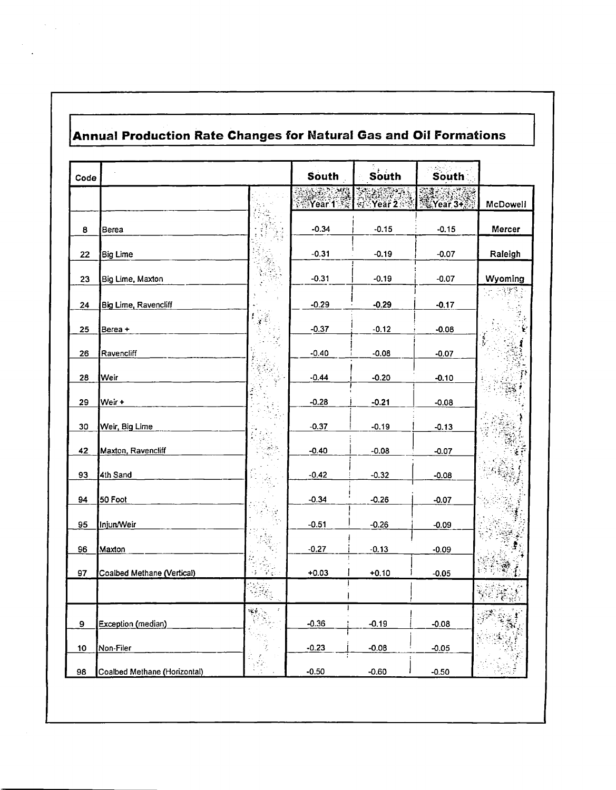# Annual Production Rate Changes for Natural Gas and Oil Formations

 $\label{eq:2} \mathcal{L} = \mathcal{L} \left( \frac{1}{\sqrt{2}} \sum_{i=1}^n \frac{1}{\sqrt{2}} \sum_{j=1}^n \frac{1}{\sqrt{2}} \sum_{i=1}^n \frac{1}{\sqrt{2}} \sum_{j=1}^n \frac{1}{\sqrt{2}} \sum_{j=1}^n \frac{1}{\sqrt{2}} \sum_{j=1}^n \frac{1}{\sqrt{2}} \sum_{j=1}^n \frac{1}{\sqrt{2}} \sum_{j=1}^n \frac{1}{\sqrt{2}} \sum_{j=1}^n \frac{1}{\sqrt{2}} \sum_{j=1}^n \frac{1}{\sqrt$ 

 $\ddot{\phantom{a}}$ 

| Code |                              |                                  | <b>South</b>                         | South                | South     |          |
|------|------------------------------|----------------------------------|--------------------------------------|----------------------|-----------|----------|
|      |                              |                                  | ુઓ<br>$\sim$ $\sim$<br><b>Near 1</b> | $\frac{1}{2}$ Year 2 | 笔 Year 3+ | McDowell |
| 8    | Berea                        |                                  | $-0.34$                              | $-0.15$              | $-0.15$   | Mercer   |
| 22   | Big Lime                     |                                  | $-0.31$                              | $-0.19$              | $-0.07$   | Raleigh  |
| 23   | Big Lime, Maxton             |                                  | $-0.31$                              | $-0.19$              | $-0.07$   | Wyoming  |
| 24   | <b>Big Lime, Ravencliff</b>  |                                  | $-0.29$                              | $-0.29$              | $-0.17$   |          |
| 25   | Berea +                      | $\mathcal{F}^{\pm}$              | $-0.37$                              | $-0.12$              | $-0.08$   |          |
| 26   | Ravencliff                   |                                  | $-0.40$                              | $-0.08$              | $-0.07$   | e<br>S   |
| 28   | Weir                         | 41                               | $-0.44$                              | $-0.20$              | $-0.10$   |          |
| 29   | Weir +                       |                                  | $-0.28$                              | $-0.21$              | $-0.08$   |          |
| 30   | <u>Weir, Big Lime</u>        |                                  | $-0.37$                              | $-0.19$              | $-0.13$   |          |
| 42   | Maxton, Ravencliff           |                                  | $-0.40$                              | $-0.08$              | $-0.07$   |          |
| 93   | 4th Sand                     |                                  | $-0.42$                              | $-0.32$              | $-0.08$   |          |
| 94   | 50 Foot                      |                                  | $-0.34$                              | $-0.26$              | $-0.07$   |          |
| 95   | Injun/Weir                   | $\mathcal{G}$                    | $-0.51$                              | $-0.26$              | $-0.09$   |          |
| 96   | Maxton                       |                                  | $-0.27$                              | $-0.13$              | $-0.09$   |          |
| 97   | Coalbed Methane (Vertical)   | $\mathcal{F}_{\mathbb{C}}$<br>٠ż | $+0.03$                              | $+0.10$              | $-0.05$   |          |
|      |                              | 741                              |                                      |                      |           |          |
| 9    | Exception (median)           | ÷÷.                              | $-0.36$                              | $-0.19$              | $-0.08$   |          |
| 10   | Non-Filer                    |                                  | $-0.23$                              | $-0.08$              | $-0.05$   |          |
| 98   | Coalbed Methane (Horizontal) | يلاو                             | $-0.50$                              | $-0.60$              | $-0.50$   |          |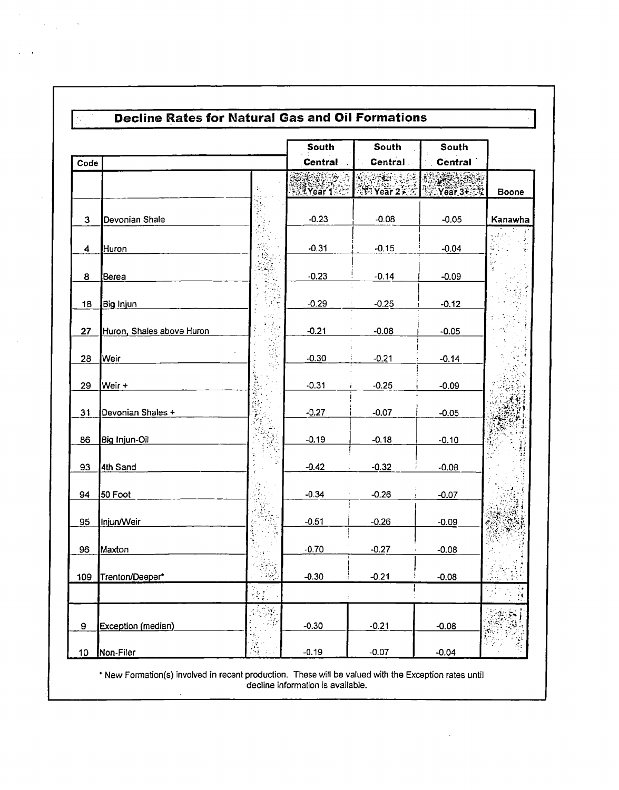|      |                           |          | South          | South                              | South          |               |
|------|---------------------------|----------|----------------|------------------------------------|----------------|---------------|
| Code |                           |          | <b>Central</b> | Central                            | <b>Central</b> |               |
|      |                           |          |                | $\mathcal{R}$                      | <b>ANDER</b>   |               |
|      |                           |          | Vear1          | $\frac{1}{2}$ Year 2 $\frac{1}{2}$ | $Near3 + 3$    | Boone         |
|      |                           |          |                |                                    |                |               |
| 3    | Devonian Shale            |          | $-0.23$        | $-0.08$                            | $-0.05$        | Kanawha       |
|      |                           |          | $-0.31$        |                                    |                |               |
| 4    | Huron                     |          |                | $-0.15$                            | $-0.04$        |               |
| 8    | Berea                     |          | $-0.23$        | $-0.14$                            | $-0.09$        |               |
|      |                           |          |                |                                    |                |               |
| 18   | Big Injun                 |          | $-0.29$        | $-0.25$                            | $-0.12$        |               |
|      |                           |          |                |                                    |                |               |
| 27   | Huron, Shales above Huron |          | $-0.21$        | $-0.08$                            | $-0.05$        |               |
| 28   | Weir                      |          | $-0.30$        | $-0.21$                            | $-0.14$        |               |
|      |                           |          |                |                                    |                |               |
| 29   | Weir +                    |          | $-0.31$        | $-0.25$                            | $-0.09$        |               |
| 31   | Devonian Shales +         |          | $-0.27$        | $-0.07$                            | $-0.05$        |               |
|      |                           |          |                |                                    |                |               |
| 86   | Big Injun-Oil             |          | $-0.19$        | $-0.18$                            | $-0.10$        |               |
|      |                           |          |                |                                    |                |               |
| 93   | 4th Sand                  |          | $-0.42$        | $-0.32$                            | $-0.08$        |               |
| 94   | 50 Foot                   |          | $-0.34$        | $-0.26$                            | $-0.07$        |               |
|      |                           |          |                |                                    |                |               |
| 95   | Injun/Weir                |          | $-0.51$        | $-0.26$                            | $-0.09$        |               |
|      |                           |          |                |                                    |                |               |
| 96   | Maxton                    |          | $-0.70$        | $-0.27$                            | $-0.08$        |               |
| 109  | Trenton/Deeper*           | 역자<br>탄생 | $-0.30$        | $-0.21$                            | $-0.08$        |               |
|      |                           |          |                |                                    |                | $\mathcal{S}$ |
|      |                           | ă.       |                |                                    |                |               |
| 9    | Exception (median)        |          | $-0.30$        | $-0.21$                            | $-0.08$        |               |
|      |                           |          |                |                                    |                |               |
| 10   | Non-Filer                 |          | $-0.19$        | $-0.07$                            | $-0.04$        |               |

 $\label{eq:2.1} \mathcal{L}_{\mathcal{A}}(\mathcal{A}) = \mathcal{L}_{\mathcal{A}}(\mathcal{A}) = \mathcal{L}_{\mathcal{A}}(\mathcal{A})$ 

 $\begin{array}{c} \mathcal{L}_{\mathcal{A}} \\ \mathcal{L}_{\mathcal{A}} \\ \mathcal{L}_{\mathcal{A}} \end{array}$ 

\* New Formation(s) involved in recent production. These will be valued with the Exception rates until<br>decline information is available.  $\bar{\mathcal{A}}$ 

 $\mathcal{L}^{\text{max}}_{\text{max}}$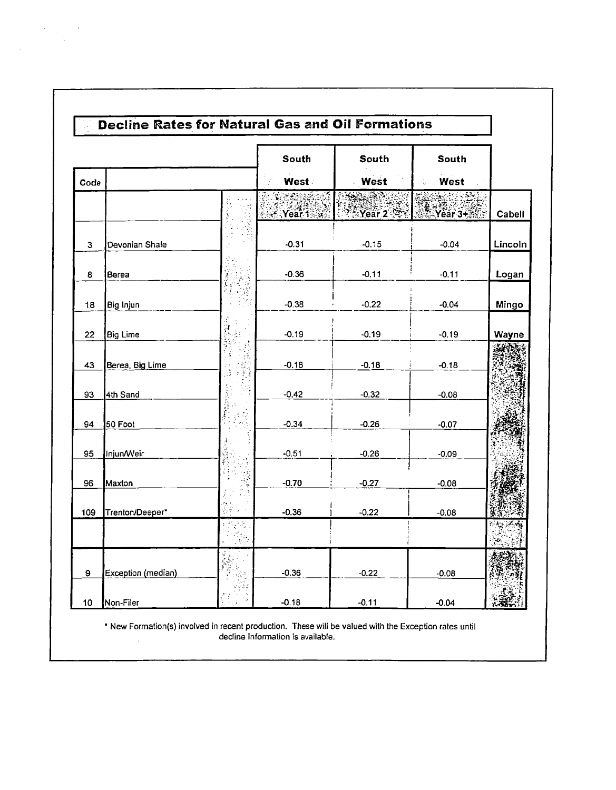|      |                    | South                                | South            | South   |         |
|------|--------------------|--------------------------------------|------------------|---------|---------|
| Code |                    | West                                 | West             | West    |         |
|      |                    | - 23<br>$\cdot$ Year 1: $\mathbb{Z}$ | $Y \cong$ Year 2 | Year 3+ | Cabell  |
| 3    | Devonian Shale     | $-0.31$                              | $-0.15$          | $-0.04$ | Lincoln |
| 8    | Berea              | $-0.36$                              | $-0.11$          | $-0.11$ | Logan   |
| 18   | Big Injun          | $-0.38$                              | $-0.22$          | $-0.04$ | Mingo   |
| 22   | <b>Big Lime</b>    | $-0.19$                              | $-0.19$          | $-0.19$ | Wayne   |
| 43   | Berea, Big Lime    | $-0.18$                              | $-0.18$          | $-0.18$ |         |
| 93   | 4th Sand           | $-0.42$                              | $-0.32$          | $-0.08$ |         |
| 94   | 50 Foot            | $-0.34$                              | $-0.26$          | $-0.07$ |         |
| 95   | Injun/Weir         | $-0.51$                              | $-0.26$          | $-0.09$ |         |
| 96   | Maxton             | $-0.70$                              | $-0.27$          | $-0.08$ |         |
| 109  | Trenton/Deeper*    | $-0.36$                              | $-0.22$          | $-0.08$ |         |
|      |                    |                                      |                  |         |         |
| 9    | Exception (median) | $-0.36$                              | $-0.22$          | $-0.08$ |         |
| 10   | Non-Filer          | $-0.18$                              | $-0.11$          | $-0.04$ |         |

 $\label{eq:2} \begin{split} \mathcal{L}_{\text{max}}(\mathbf{r}) = \mathcal{L}_{\text{max}}(\mathbf{r}) \mathcal{L}_{\text{max}}(\mathbf{r}) \mathcal{L}_{\text{max}}(\mathbf{r}) \mathcal{L}_{\text{max}}(\mathbf{r}) \mathcal{L}_{\text{max}}(\mathbf{r}) \mathcal{L}_{\text{max}}(\mathbf{r}) \mathcal{L}_{\text{max}}(\mathbf{r}) \mathcal{L}_{\text{max}}(\mathbf{r}) \mathcal{L}_{\text{max}}(\mathbf{r}) \mathcal{L}_{\text{max}}(\mathbf{r}) \mathcal{L}_{\text{max}}(\mathbf{r}) \mathcal$ 

 $\sim 10$ 

\* New Formation(s) involved in recent production. These will be valued with the Exception rates until<br>decline information is available.  $\mathcal{A}^{\mathcal{A}}$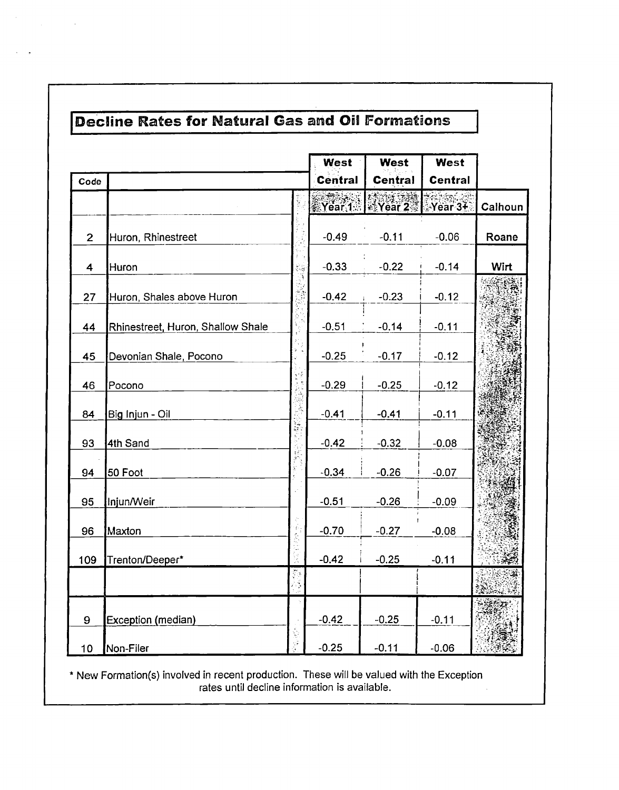|                |                                   |               | West           | West            | West           |             |
|----------------|-----------------------------------|---------------|----------------|-----------------|----------------|-------------|
| Code           |                                   |               | <b>Central</b> | <b>Central</b>  | <b>Central</b> |             |
|                |                                   |               |                | Year 1   Year 2 | Year 3+        | Calhoun     |
| $\overline{2}$ | Huron, Rhinestreet                |               | $-0.49$        | $-0.11$         | $-0.06$        | Roane       |
| 4              | Huron                             |               | $-0.33$        | $-0.22$         | $-0.14$        | <b>Wirt</b> |
| 27             | Huron, Shales above Huron         |               | $-0.42$        | $-0.23$         | $-0.12$        |             |
| 44             | Rhinestreet, Huron, Shallow Shale |               | $-0.51$        | $-0.14$         | $-0.11$        |             |
| 45             | Devonian Shale, Pocono            |               | $-0.25$        | $-0.17$         | $-0.12$        |             |
| 46             | Pocono                            |               | $-0.29$        | $-0.25$         | $-0.12$        |             |
| 84             | Big Injun - Oil                   |               | $-0.41$        | $-0.41$         | $-0.11$        |             |
| 93             | 4th Sand                          |               | $-0.42$        | $-0.32$         | $-0.08$        |             |
| 94             | 50 Foot                           |               | $-0.34$        | $-0.26$         | $-0.07$        |             |
| 95             | Injun/Weir                        |               | $-0.51$        | $-0.26$         | $-0.09$        |             |
| 96             | Maxton                            |               | $-0.70$        | $-0.27$         | $-0.08$        |             |
| 109            | Trenton/Deeper*                   |               | $-0.42$        | $-0.25$         | $-0.11$        |             |
|                |                                   | $\frac{2}{3}$ |                |                 |                |             |
| 9              | Exception (median)                |               | $-0.42$        | $-0.25$         | $-0.11$        |             |
| 10             | Non-Filer                         |               | $-0.25$        | $-0.11$         | $-0.06$        |             |

\* New Formation(s) involved in recent production. These will be valued with the Exception rates until decline information is available.